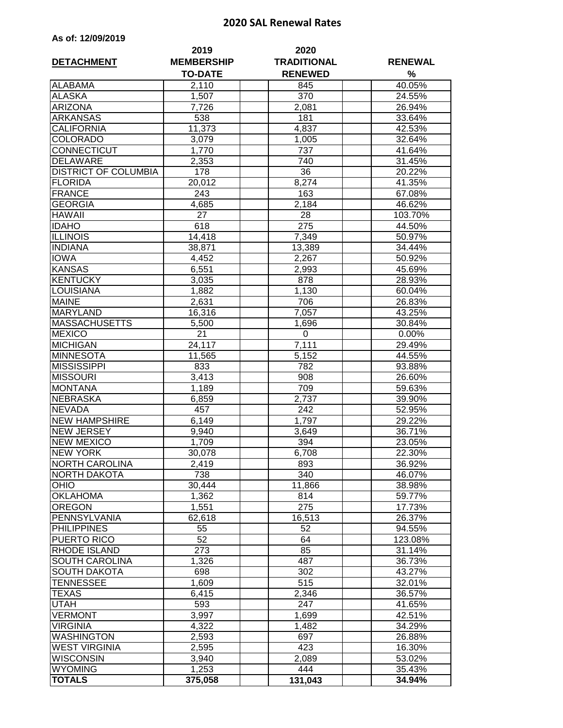## **2020 SAL Renewal Rates**

| As of: 12/09/2019 |  |  |
|-------------------|--|--|
|-------------------|--|--|

| <b>DETACHMENT</b>              | 2019<br><b>MEMBERSHIP</b> | 2020<br><b>TRADITIONAL</b> | <b>RENEWAL</b>   |
|--------------------------------|---------------------------|----------------------------|------------------|
|                                | <b>TO-DATE</b>            | <b>RENEWED</b>             | %                |
| <b>ALABAMA</b>                 | 2,110                     | 845                        | 40.05%           |
| <b>ALASKA</b>                  | 1,507                     | 370                        | 24.55%           |
| <b>ARIZONA</b>                 | 7,726                     | 2,081                      | 26.94%           |
| <b>ARKANSAS</b>                | 538                       | 181                        | 33.64%           |
| <b>CALIFORNIA</b>              | 11,373                    | 4,837                      | 42.53%           |
| <b>COLORADO</b>                | 3,079                     | 1,005                      | 32.64%           |
| <b>CONNECTICUT</b>             | 1,770                     | 737                        | 41.64%           |
| <b>DELAWARE</b>                | 2,353                     | 740                        | 31.45%           |
| <b>DISTRICT OF COLUMBIA</b>    | 178                       | 36                         | 20.22%           |
| <b>FLORIDA</b>                 | 20,012                    | 8,274                      | 41.35%           |
| FRANCE                         | 243                       | 163                        | 67.08%           |
| <b>GEORGIA</b>                 | 4,685                     | 2,184                      | 46.62%           |
| <b>HAWAII</b>                  | 27                        | 28                         | 103.70%          |
| <b>IDAHO</b>                   | 618                       | 275                        | 44.50%           |
| <b>ILLINOIS</b>                | 14,418                    | 7,349                      | 50.97%           |
| <b>INDIANA</b>                 | 38,871                    | 13,389                     | 34.44%           |
| <b>IOWA</b>                    | 4,452                     | 2,267                      | 50.92%           |
| <b>KANSAS</b>                  | 6,551                     | 2,993                      | 45.69%           |
| KENTUCKY                       | 3,035                     | 878                        | 28.93%           |
| <b>LOUISIANA</b>               | 1,882                     | 1,130                      | 60.04%           |
| <b>MAINE</b>                   | 2,631                     | 706                        | 26.83%           |
| <b>MARYLAND</b>                | 16,316                    | 7,057                      | 43.25%           |
| <b>MASSACHUSETTS</b>           | 5,500                     | 1,696                      | 30.84%           |
| <b>MEXICO</b>                  | 21                        | 0                          | 0.00%            |
| <b>MICHIGAN</b>                |                           |                            |                  |
| <b>MINNESOTA</b>               | 24,117                    | 7,111                      | 29.49%<br>44.55% |
| <b>MISSISSIPPI</b>             | 11,565<br>833             | 5,152<br>782               | 93.88%           |
| <b>MISSOURI</b>                |                           |                            |                  |
| <b>MONTANA</b>                 | 3,413<br>1,189            | 908<br>709                 | 26.60%<br>59.63% |
| <b>NEBRASKA</b>                |                           |                            |                  |
| <b>NEVADA</b>                  | 6,859                     | 2,737<br>242               | 39.90%<br>52.95% |
| <b>NEW HAMPSHIRE</b>           | 457                       |                            |                  |
| <b>NEW JERSEY</b>              | 6,149                     | 1,797                      | 29.22%           |
| <b>NEW MEXICO</b>              | 9,940<br>1,709            | 3,649                      | 36.71%           |
| <b>NEW YORK</b>                |                           | 394                        | 23.05%<br>22.30% |
|                                | 30,078                    | 6,708                      |                  |
| NORTH CAROLINA                 | 2,419                     | 893                        | 36.92%           |
| <b>NORTH DAKOTA</b>            | 738                       | 340                        | 46.07%           |
| <b>OHIO</b><br><b>OKLAHOMA</b> | 30,444                    | 11,866                     | 38.98%           |
| <b>OREGON</b>                  | 1,362                     | 814                        | 59.77%           |
| PENNSYLVANIA                   | 1,551                     | 275                        | 17.73%<br>26.37% |
|                                | 62,618                    | 16,513                     |                  |
| <b>PHILIPPINES</b>             | 55                        | 52                         | 94.55%           |
| <b>PUERTO RICO</b>             | 52                        | 64                         | 123.08%          |
| <b>RHODE ISLAND</b>            | 273                       | 85                         | 31.14%           |
| SOUTH CAROLINA                 | 1,326                     | 487                        | 36.73%           |
| <b>SOUTH DAKOTA</b>            | 698                       | 302                        | 43.27%           |
| <b>TENNESSEE</b>               | 1,609                     | 515                        | 32.01%           |
| <b>TEXAS</b>                   | 6,415                     | 2,346                      | 36.57%           |
| <b>UTAH</b>                    | 593                       | 247                        | 41.65%           |
| <b>VERMONT</b>                 | 3,997                     | 1,699                      | 42.51%           |
| <b>VIRGINIA</b>                | 4,322                     | 1,482                      | 34.29%           |
| <b>WASHINGTON</b>              | 2,593                     | 697                        | 26.88%           |
| <b>WEST VIRGINIA</b>           | 2,595                     | 423                        | 16.30%           |
| <b>WISCONSIN</b>               | 3,940                     | 2,089                      | 53.02%           |
| <b>WYOMING</b>                 | 1,253                     | 444                        | 35.43%           |
| <b>TOTALS</b>                  | 375,058                   | 131,043                    | 34.94%           |